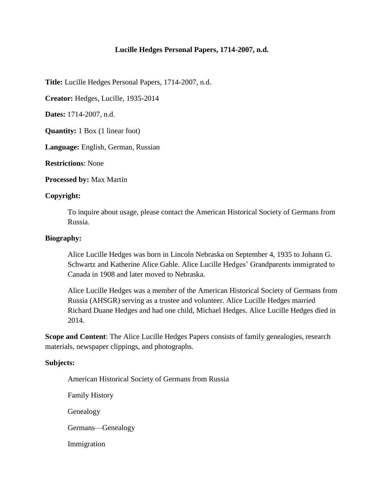## **Lucille Hedges Personal Papers, 1714-2007, n.d.**

**Title:** Lucille Hedges Personal Papers, 1714-2007, n.d.

**Creator:** Hedges, Lucille, 1935-2014

**Dates:** 1714-2007, n.d.

**Quantity:** 1 Box (1 linear foot)

**Language:** English, German, Russian

**Restrictions**: None

**Processed by:** Max Martin

### **Copyright:**

To inquire about usage, please contact the American Historical Society of Germans from Russia.

### **Biography:**

Alice Lucille Hedges was born in Lincoln Nebraska on September 4, 1935 to Johann G. Schwartz and Katherine Alice Gable. Alice Lucille Hedges' Grandparents immigrated to Canada in 1908 and later moved to Nebraska.

Alice Lucille Hedges was a member of the American Historical Society of Germans from Russia (AHSGR) serving as a trustee and volunteer. Alice Lucille Hedges married Richard Duane Hedges and had one child, Michael Hedges. Alice Lucille Hedges died in 2014.

**Scope and Content**: The Alice Lucille Hedges Papers consists of family genealogies, research materials, newspaper clippings, and photographs.

### **Subjects:**

American Historical Society of Germans from Russia

Family History

Genealogy

Germans—Genealogy

Immigration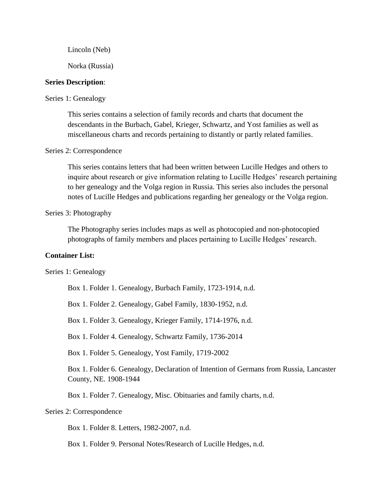Lincoln (Neb)

Norka (Russia)

## **Series Description**:

### Series 1: Genealogy

This series contains a selection of family records and charts that document the descendants in the Burbach, Gabel, Krieger, Schwartz, and Yost families as well as miscellaneous charts and records pertaining to distantly or partly related families.

## Series 2: Correspondence

This series contains letters that had been written between Lucille Hedges and others to inquire about research or give information relating to Lucille Hedges' research pertaining to her genealogy and the Volga region in Russia. This series also includes the personal notes of Lucille Hedges and publications regarding her genealogy or the Volga region.

#### Series 3: Photography

The Photography series includes maps as well as photocopied and non-photocopied photographs of family members and places pertaining to Lucille Hedges' research.

## **Container List:**

Series 1: Genealogy

Box 1. Folder 1. Genealogy, Burbach Family, 1723-1914, n.d.

Box 1. Folder 2. Genealogy, Gabel Family, 1830-1952, n.d.

Box 1. Folder 3. Genealogy, Krieger Family, 1714-1976, n.d.

Box 1. Folder 4. Genealogy, Schwartz Family, 1736-2014

Box 1. Folder 5. Genealogy, Yost Family, 1719-2002

Box 1. Folder 6. Genealogy, Declaration of Intention of Germans from Russia, Lancaster County, NE. 1908-1944

Box 1. Folder 7. Genealogy, Misc. Obituaries and family charts, n.d.

## Series 2: Correspondence

Box 1. Folder 8. Letters, 1982-2007, n.d.

Box 1. Folder 9. Personal Notes/Research of Lucille Hedges, n.d.